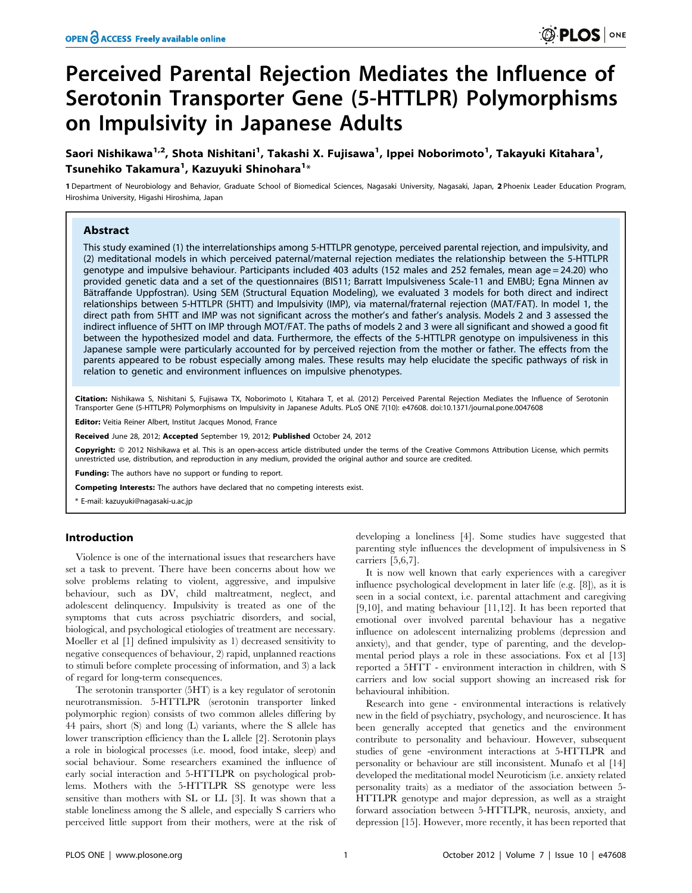# Perceived Parental Rejection Mediates the Influence of Serotonin Transporter Gene (5-HTTLPR) Polymorphisms on Impulsivity in Japanese Adults

Saori Nishikawa<sup>1,2</sup>, Shota Nishitani<sup>1</sup>, Takashi X. Fujisawa<sup>1</sup>, Ippei Noborimoto<sup>1</sup>, Takayuki Kitahara<sup>1</sup>, Tsunehiko Takamura $^1$ , Kazuyuki Shinohara $^1\ast$ 

1 Department of Neurobiology and Behavior, Graduate School of Biomedical Sciences, Nagasaki University, Nagasaki, Japan, 2 Phoenix Leader Education Program, Hiroshima University, Higashi Hiroshima, Japan

# Abstract

This study examined (1) the interrelationships among 5-HTTLPR genotype, perceived parental rejection, and impulsivity, and (2) meditational models in which perceived paternal/maternal rejection mediates the relationship between the 5-HTTLPR genotype and impulsive behaviour. Participants included 403 adults (152 males and 252 females, mean age = 24.20) who provided genetic data and a set of the questionnaires (BIS11; Barratt Impulsiveness Scale-11 and EMBU; Egna Minnen av Bätraffande Uppfostran). Using SEM (Structural Equation Modeling), we evaluated 3 models for both direct and indirect relationships between 5-HTTLPR (5HTT) and Impulsivity (IMP), via maternal/fraternal rejection (MAT/FAT). In model 1, the direct path from 5HTT and IMP was not significant across the mother's and father's analysis. Models 2 and 3 assessed the indirect influence of 5HTT on IMP through MOT/FAT. The paths of models 2 and 3 were all significant and showed a good fit between the hypothesized model and data. Furthermore, the effects of the 5-HTTLPR genotype on impulsiveness in this Japanese sample were particularly accounted for by perceived rejection from the mother or father. The effects from the parents appeared to be robust especially among males. These results may help elucidate the specific pathways of risk in relation to genetic and environment influences on impulsive phenotypes.

Citation: Nishikawa S, Nishitani S, Fujisawa TX, Noborimoto I, Kitahara T, et al. (2012) Perceived Parental Rejection Mediates the Influence of Serotonin Transporter Gene (5-HTTLPR) Polymorphisms on Impulsivity in Japanese Adults. PLoS ONE 7(10): e47608. doi:10.1371/journal.pone.0047608

Editor: Veitia Reiner Albert, Institut Jacques Monod, France

Received June 28, 2012; Accepted September 19, 2012; Published October 24, 2012

Copyright: © 2012 Nishikawa et al. This is an open-access article distributed under the terms of the Creative Commons Attribution License, which permits unrestricted use, distribution, and reproduction in any medium, provided the original author and source are credited.

Funding: The authors have no support or funding to report.

Competing Interests: The authors have declared that no competing interests exist.

\* E-mail: kazuyuki@nagasaki-u.ac.jp

# Introduction

Violence is one of the international issues that researchers have set a task to prevent. There have been concerns about how we solve problems relating to violent, aggressive, and impulsive behaviour, such as DV, child maltreatment, neglect, and adolescent delinquency. Impulsivity is treated as one of the symptoms that cuts across psychiatric disorders, and social, biological, and psychological etiologies of treatment are necessary. Moeller et al [1] defined impulsivity as 1) decreased sensitivity to negative consequences of behaviour, 2) rapid, unplanned reactions to stimuli before complete processing of information, and 3) a lack of regard for long-term consequences.

The serotonin transporter (5HT) is a key regulator of serotonin neurotransmission. 5-HTTLPR (serotonin transporter linked polymorphic region) consists of two common alleles differing by 44 pairs, short (S) and long (L) variants, where the S allele has lower transcription efficiency than the L allele [2]. Serotonin plays a role in biological processes (i.e. mood, food intake, sleep) and social behaviour. Some researchers examined the influence of early social interaction and 5-HTTLPR on psychological problems. Mothers with the 5-HTTLPR SS genotype were less sensitive than mothers with SL or LL [3]. It was shown that a stable loneliness among the S allele, and especially S carriers who perceived little support from their mothers, were at the risk of developing a loneliness [4]. Some studies have suggested that parenting style influences the development of impulsiveness in S carriers [5,6,7].

It is now well known that early experiences with a caregiver influence psychological development in later life (e.g. [8]), as it is seen in a social context, i.e. parental attachment and caregiving [9,10], and mating behaviour [11,12]. It has been reported that emotional over involved parental behaviour has a negative influence on adolescent internalizing problems (depression and anxiety), and that gender, type of parenting, and the developmental period plays a role in these associations. Fox et al [13] reported a 5HTT - environment interaction in children, with S carriers and low social support showing an increased risk for behavioural inhibition.

Research into gene - environmental interactions is relatively new in the field of psychiatry, psychology, and neuroscience. It has been generally accepted that genetics and the environment contribute to personality and behaviour. However, subsequent studies of gene -environment interactions at 5-HTTLPR and personality or behaviour are still inconsistent. Munafo et al [14] developed the meditational model Neuroticism (i.e. anxiety related personality traits) as a mediator of the association between 5- HTTLPR genotype and major depression, as well as a straight forward association between 5-HTTLPR, neurosis, anxiety, and depression [15]. However, more recently, it has been reported that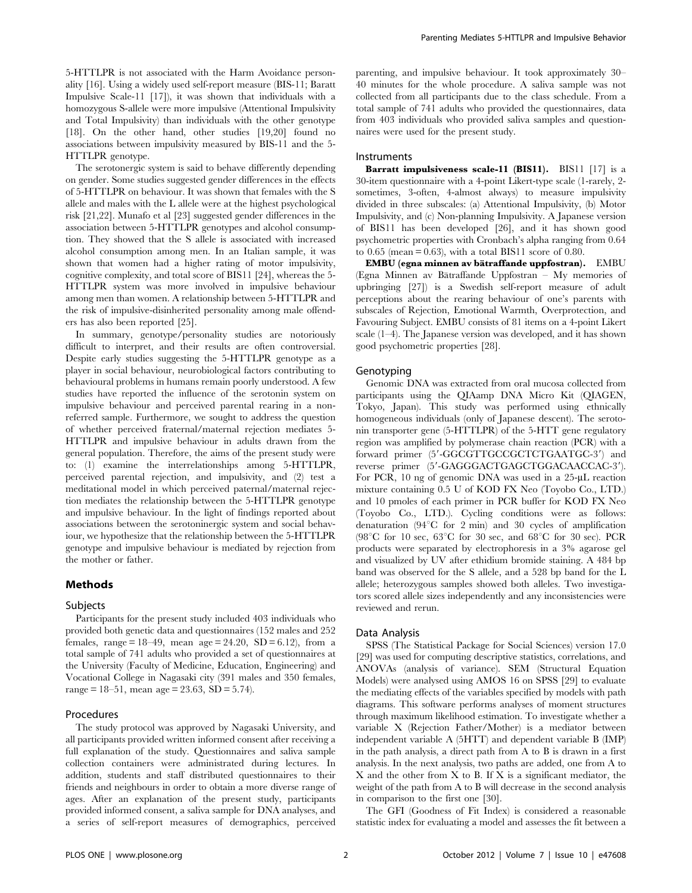5-HTTLPR is not associated with the Harm Avoidance personality [16]. Using a widely used self-report measure (BIS-11; Baratt Impulsive Scale-11 [17]), it was shown that individuals with a homozygous S-allele were more impulsive (Attentional Impulsivity and Total Impulsivity) than individuals with the other genotype [18]. On the other hand, other studies [19,20] found no associations between impulsivity measured by BIS-11 and the 5- HTTLPR genotype.

The serotonergic system is said to behave differently depending on gender. Some studies suggested gender differences in the effects of 5-HTTLPR on behaviour. It was shown that females with the S allele and males with the L allele were at the highest psychological risk [21,22]. Munafo et al [23] suggested gender differences in the association between 5-HTTLPR genotypes and alcohol consumption. They showed that the S allele is associated with increased alcohol consumption among men. In an Italian sample, it was shown that women had a higher rating of motor impulsivity, cognitive complexity, and total score of BIS11 [24], whereas the 5- HTTLPR system was more involved in impulsive behaviour among men than women. A relationship between 5-HTTLPR and the risk of impulsive-disinherited personality among male offenders has also been reported [25].

In summary, genotype/personality studies are notoriously difficult to interpret, and their results are often controversial. Despite early studies suggesting the 5-HTTLPR genotype as a player in social behaviour, neurobiological factors contributing to behavioural problems in humans remain poorly understood. A few studies have reported the influence of the serotonin system on impulsive behaviour and perceived parental rearing in a nonreferred sample. Furthermore, we sought to address the question of whether perceived fraternal/maternal rejection mediates 5- HTTLPR and impulsive behaviour in adults drawn from the general population. Therefore, the aims of the present study were to: (1) examine the interrelationships among 5-HTTLPR, perceived parental rejection, and impulsivity, and (2) test a meditational model in which perceived paternal/maternal rejection mediates the relationship between the 5-HTTLPR genotype and impulsive behaviour. In the light of findings reported about associations between the serotoninergic system and social behaviour, we hypothesize that the relationship between the 5-HTTLPR genotype and impulsive behaviour is mediated by rejection from the mother or father.

# Methods

#### Subjects

Participants for the present study included 403 individuals who provided both genetic data and questionnaires (152 males and 252 females, range =  $18-49$ , mean age =  $24.20$ , SD =  $6.12$ ), from a total sample of 741 adults who provided a set of questionnaires at the University (Faculty of Medicine, Education, Engineering) and Vocational College in Nagasaki city (391 males and 350 females, range =  $18-51$ , mean age =  $23.63$ , SD =  $5.74$ ).

# Procedures

The study protocol was approved by Nagasaki University, and all participants provided written informed consent after receiving a full explanation of the study. Questionnaires and saliva sample collection containers were administrated during lectures. In addition, students and staff distributed questionnaires to their friends and neighbours in order to obtain a more diverse range of ages. After an explanation of the present study, participants provided informed consent, a saliva sample for DNA analyses, and a series of self-report measures of demographics, perceived parenting, and impulsive behaviour. It took approximately 30– 40 minutes for the whole procedure. A saliva sample was not collected from all participants due to the class schedule. From a total sample of 741 adults who provided the questionnaires, data from 403 individuals who provided saliva samples and questionnaires were used for the present study.

### Instruments

Barratt impulsiveness scale-11 (BIS11). BIS11 [17] is a 30-item questionnaire with a 4-point Likert-type scale (1-rarely, 2 sometimes, 3-often, 4-almost always) to measure impulsivity divided in three subscales: (a) Attentional Impulsivity, (b) Motor Impulsivity, and (c) Non-planning Impulsivity. A Japanese version of BIS11 has been developed [26], and it has shown good psychometric properties with Cronbach's alpha ranging from 0.64 to  $0.65$  (mean = 0.63), with a total BIS11 score of 0.80.

EMBU (egna minnen av bätraffande uppfostran). EMBU (Egna Minnen av Bätraffande Uppfostran – My memories of upbringing [27]) is a Swedish self-report measure of adult perceptions about the rearing behaviour of one's parents with subscales of Rejection, Emotional Warmth, Overprotection, and Favouring Subject. EMBU consists of 81 items on a 4-point Likert scale (1–4). The Japanese version was developed, and it has shown good psychometric properties [28].

#### Genotyping

Genomic DNA was extracted from oral mucosa collected from participants using the QIAamp DNA Micro Kit (QIAGEN, Tokyo, Japan). This study was performed using ethnically homogeneous individuals (only of Japanese descent). The serotonin transporter gene (5-HTTLPR) of the 5-HTT gene regulatory region was amplified by polymerase chain reaction (PCR) with a forward primer (5'-GGCGTTGCCGCTCTGAATGC-3') and reverse primer (5'-GAGGGACTGAGCTGGACAACCAC-3'). For PCR, 10 ng of genomic DNA was used in a  $25-\mu L$  reaction mixture containing 0.5 U of KOD FX Neo (Toyobo Co., LTD.) and 10 pmoles of each primer in PCR buffer for KOD FX Neo (Toyobo Co., LTD.). Cycling conditions were as follows: denaturation  $(94^{\circ}C$  for 2 min) and 30 cycles of amplification (98 $^{\circ}$ C for 10 sec, 63 $^{\circ}$ C for 30 sec, and 68 $^{\circ}$ C for 30 sec). PCR products were separated by electrophoresis in a 3% agarose gel and visualized by UV after ethidium bromide staining. A 484 bp band was observed for the S allele, and a 528 bp band for the L allele; heterozygous samples showed both alleles. Two investigators scored allele sizes independently and any inconsistencies were reviewed and rerun.

## Data Analysis

SPSS (The Statistical Package for Social Sciences) version 17.0 [29] was used for computing descriptive statistics, correlations, and ANOVAs (analysis of variance). SEM (Structural Equation Models) were analysed using AMOS 16 on SPSS [29] to evaluate the mediating effects of the variables specified by models with path diagrams. This software performs analyses of moment structures through maximum likelihood estimation. To investigate whether a variable X (Rejection Father/Mother) is a mediator between independent variable A (5HTT) and dependent variable B (IMP) in the path analysis, a direct path from A to B is drawn in a first analysis. In the next analysis, two paths are added, one from A to X and the other from X to B. If X is a significant mediator, the weight of the path from A to B will decrease in the second analysis in comparison to the first one [30].

The GFI (Goodness of Fit Index) is considered a reasonable statistic index for evaluating a model and assesses the fit between a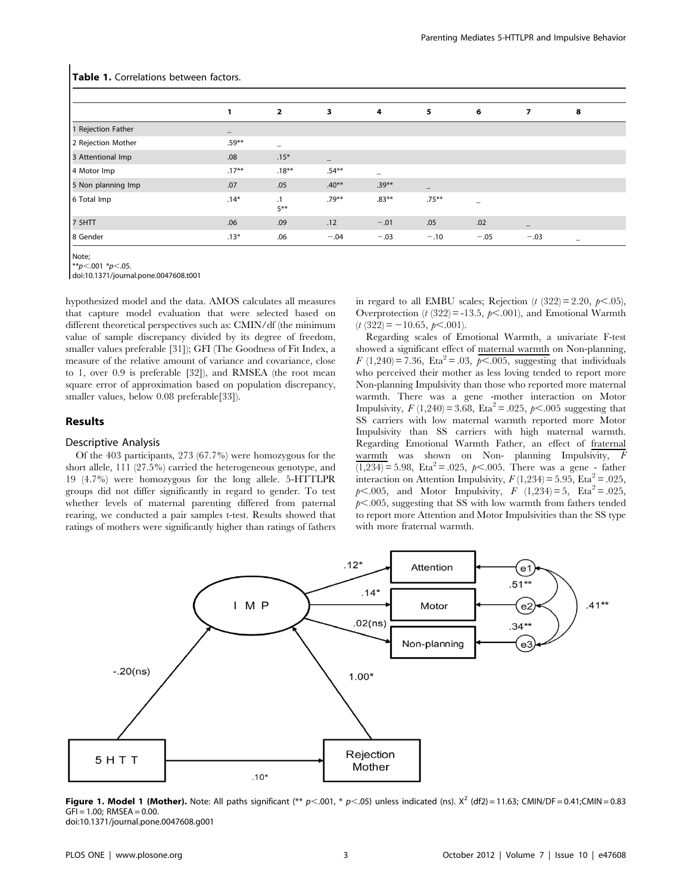|                    | 1                        | $\overline{2}$      | 3                        | 4        | 5                               | 6      | 7               | 8 |
|--------------------|--------------------------|---------------------|--------------------------|----------|---------------------------------|--------|-----------------|---|
| 1 Rejection Father | $\overline{\phantom{m}}$ |                     |                          |          |                                 |        |                 |   |
| 2 Rejection Mother | $.59***$                 | $\qquad \qquad =$   |                          |          |                                 |        |                 |   |
| 3 Attentional Imp  | .08                      | $.15*$              | $\overline{\phantom{m}}$ |          |                                 |        |                 |   |
| 4 Motor Imp        | $.17***$                 | $.18***$            | $.54***$                 | $\equiv$ |                                 |        |                 |   |
| 5 Non planning Imp | .07                      | .05                 | $.40**$                  | $.39**$  | $\hspace{0.1mm}-\hspace{0.1mm}$ |        |                 |   |
| 6 Total Imp        | $.14*$                   | $\cdot$ 1<br>$5***$ | $.79***$                 | $.83***$ | $.75***$                        |        |                 |   |
| 7 5HTT             | .06                      | .09                 | .12                      | $-.01$   | .05                             | .02    | $\qquad \qquad$ |   |
| 8 Gender           | $.13*$                   | .06                 | $-.04$                   | $-.03$   | $-.10$                          | $-.05$ | $-.03$          |   |

# Table 1. Correlations between factors.

Note;

\*\* $p<.001$  \* $p<.05$ .

doi:10.1371/journal.pone.0047608.t001

hypothesized model and the data. AMOS calculates all measures that capture model evaluation that were selected based on different theoretical perspectives such as: CMIN/df (the minimum value of sample discrepancy divided by its degree of freedom, smaller values preferable [31]); GFI (The Goodness of Fit Index, a measure of the relative amount of variance and covariance, close to 1, over 0.9 is preferable [32]), and RMSEA (the root mean square error of approximation based on population discrepancy, smaller values, below 0.08 preferable[33]).

# Results

### Descriptive Analysis

Of the 403 participants, 273 (67.7%) were homozygous for the short allele, 111 (27.5%) carried the heterogeneous genotype, and 19 (4.7%) were homozygous for the long allele. 5-HTTLPR groups did not differ significantly in regard to gender. To test whether levels of maternal parenting differed from paternal rearing, we conducted a pair samples t-test. Results showed that ratings of mothers were significantly higher than ratings of fathers in regard to all EMBU scales; Rejection (t  $(322) = 2.20, p<.05$ ), Overprotection (t (322) = -13.5,  $p<.001$ ), and Emotional Warmth  $(t (322) = -10.65, p<.001).$ 

Regarding scales of Emotional Warmth, a univariate F-test showed a significant effect of maternal warmth on Non-planning, F (1,240) = 7.36, Eta<sup>2</sup> = .03,  $\bar{p}$ <.005, suggesting that individuals who perceived their mother as less loving tended to report more Non-planning Impulsivity than those who reported more maternal warmth. There was a gene -mother interaction on Motor Impulsivity,  $F(1,240) = 3.68$ ,  $E \tan^2 A = 0.025$ ,  $p \lt 0.005$  suggesting that SS carriers with low maternal warmth reported more Motor Impulsivity than SS carriers with high maternal warmth. Regarding Emotional Warmth Father, an effect of fraternal warmth was shown on Non- planning Impulsivity, F  $\sqrt{(1,234)} = 5.98$ , Eta<sup>2</sup> = .025, p<.005. There was a gene - father interaction on Attention Impulsivity,  $F(1,234) = 5.95$ , Eta<sup>2</sup> = .025,  $p<.005$ , and Motor Impulsivity, F (1,234) = 5, Eta<sup>2</sup> = .025,  $p<.005$ , suggesting that SS with low warmth from fathers tended to report more Attention and Motor Impulsivities than the SS type with more fraternal warmth.



Figure 1. Model 1 (Mother). Note: All paths significant (\*\*  $p$ <.001, \*  $p$ <.05) unless indicated (ns).  $X^2$  (df2) = 11.63; CMIN/DF = 0.41;CMIN = 0.83  $GFI = 1.00; RMSEA = 0.00.$ doi:10.1371/journal.pone.0047608.g001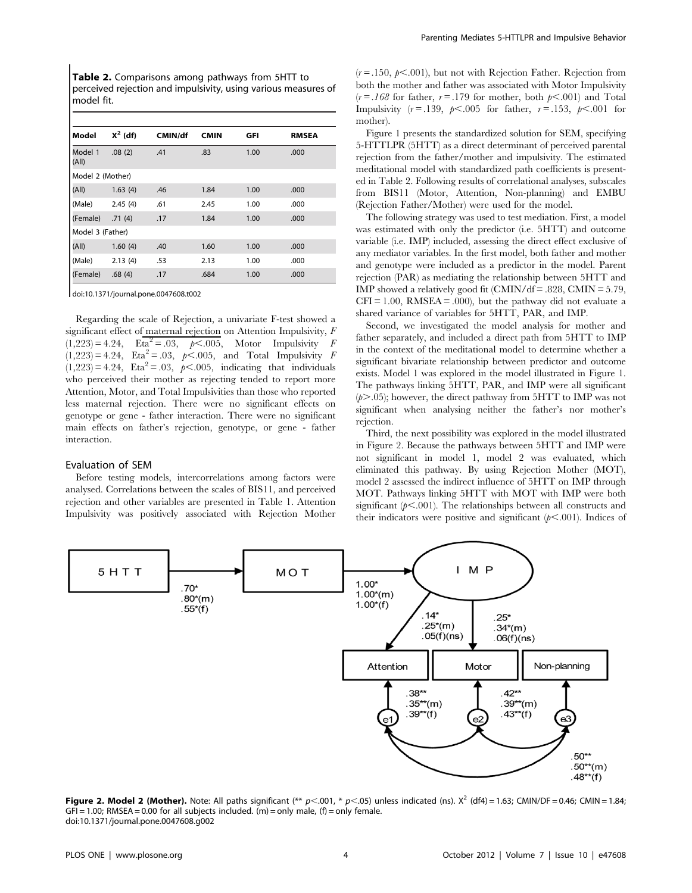Table 2. Comparisons among pathways from 5HTT to perceived rejection and impulsivity, using various measures of model fit.

| Model            | $X^2$ (df) | CMIN/df | <b>CMIN</b> | GFI  | <b>RMSEA</b> |  |  |  |  |  |
|------------------|------------|---------|-------------|------|--------------|--|--|--|--|--|
| Model 1<br>(A  ) | .08(2)     | .41     | .83         | 1.00 | .000         |  |  |  |  |  |
| Model 2 (Mother) |            |         |             |      |              |  |  |  |  |  |
| (A  )            | 1.63(4)    | .46     | 1.84        | 1.00 | .000         |  |  |  |  |  |
| (Male)           | 2.45(4)    | .61     | 2.45        | 1.00 | .000         |  |  |  |  |  |
| (Female)         | .71(4)     | .17     | 1.84        | 1.00 | .000         |  |  |  |  |  |
| Model 3 (Father) |            |         |             |      |              |  |  |  |  |  |
| (A  )            | 1.60(4)    | .40     | 1.60        | 1.00 | .000         |  |  |  |  |  |
| (Male)           | 2.13(4)    | .53     | 2.13        | 1.00 | .000         |  |  |  |  |  |
| (Female)         | .68(4)     | .17     | .684        | 1.00 | .000         |  |  |  |  |  |

doi:10.1371/journal.pone.0047608.t002

Regarding the scale of Rejection, a univariate F-test showed a significant effect of maternal rejection on Attention Impulsivity, F  $(1,223) = 4.24$ ,  $\text{Ex}^2 = .03$ ,  $p < .005$ , Motor Impulsivity F  $(1,223) = 4.24$ , Eta<sup>2</sup> = .03, p<.005, and Total Impulsivity F  $(1,223) = 4.24$ , Eta<sup>2</sup> = .03, p<.005, indicating that individuals who perceived their mother as rejecting tended to report more Attention, Motor, and Total Impulsivities than those who reported less maternal rejection. There were no significant effects on genotype or gene - father interaction. There were no significant main effects on father's rejection, genotype, or gene - father interaction.

## Evaluation of SEM

Before testing models, intercorrelations among factors were analysed. Correlations between the scales of BIS11, and perceived rejection and other variables are presented in Table 1. Attention Impulsivity was positively associated with Rejection Mother  $(r=.150, p<.001)$ , but not with Rejection Father. Rejection from both the mother and father was associated with Motor Impulsivity  $(r = .168$  for father,  $r = .179$  for mother, both  $p \le .001$ ) and Total Impulsivity  $(r = .139, p < .005$  for father,  $r = .153, p < .001$  for mother).

Figure 1 presents the standardized solution for SEM, specifying 5-HTTLPR (5HTT) as a direct determinant of perceived parental rejection from the father/mother and impulsivity. The estimated meditational model with standardized path coefficients is presented in Table 2. Following results of correlational analyses, subscales from BIS11 (Motor, Attention, Non-planning) and EMBU (Rejection Father/Mother) were used for the model.

The following strategy was used to test mediation. First, a model was estimated with only the predictor (i.e. 5HTT) and outcome variable (i.e. IMP) included, assessing the direct effect exclusive of any mediator variables. In the first model, both father and mother and genotype were included as a predictor in the model. Parent rejection (PAR) as mediating the relationship between 5HTT and IMP showed a relatively good fit  $\text{(CMIN/df = .828, CMIN = 5.79)}$ ,  $CFI = 1.00$ ,  $RMSEA = .000$ , but the pathway did not evaluate a shared variance of variables for 5HTT, PAR, and IMP.

Second, we investigated the model analysis for mother and father separately, and included a direct path from 5HTT to IMP in the context of the meditational model to determine whether a significant bivariate relationship between predictor and outcome exists. Model 1 was explored in the model illustrated in Figure 1. The pathways linking 5HTT, PAR, and IMP were all significant  $(p>0.05)$ ; however, the direct pathway from 5HTT to IMP was not significant when analysing neither the father's nor mother's rejection.

Third, the next possibility was explored in the model illustrated in Figure 2. Because the pathways between 5HTT and IMP were not significant in model 1, model 2 was evaluated, which eliminated this pathway. By using Rejection Mother (MOT), model 2 assessed the indirect influence of 5HTT on IMP through MOT. Pathways linking 5HTT with MOT with IMP were both significant  $(p<.001)$ . The relationships between all constructs and their indicators were positive and significant  $(p<.001)$ . Indices of



Figure 2. Model 2 (Mother). Note: All paths significant (\*\*  $p$ <.001, \*  $p$ <.05) unless indicated (ns).  $X^2$  (df4) = 1.63; CMIN/DF = 0.46; CMIN = 1.84; GFI = 1.00; RMSEA = 0.00 for all subjects included. (m) = only male, (f) = only female. doi:10.1371/journal.pone.0047608.g002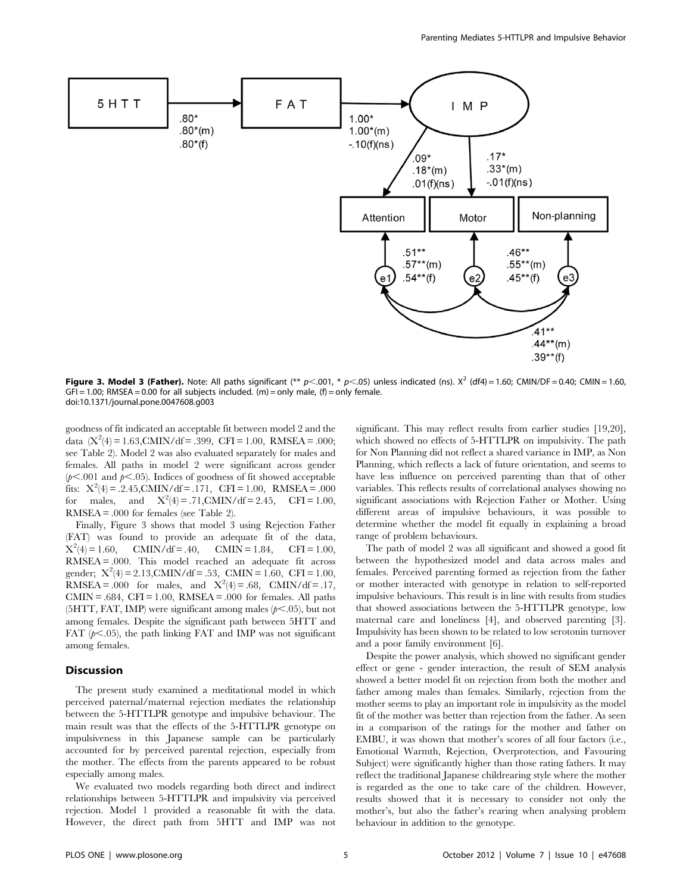

Figure 3. Model 3 (Father). Note: All paths significant (\*\*  $p<.001$ , \*  $p<.05$ ) unless indicated (ns). X<sup>2</sup> (df4) = 1.60; CMIN/DF = 0.40; CMIN = 1.60,  $GF = 1.00$ ; RMSEA = 0.00 for all subjects included. (m) = only male, (f) = only female. doi:10.1371/journal.pone.0047608.g003

goodness of fit indicated an acceptable fit between model 2 and the data  $(X^2(4) = 1.63$ , CMIN/df = .399, CFI = 1.00, RMSEA = .000; see Table 2). Model 2 was also evaluated separately for males and females. All paths in model 2 were significant across gender ( $p<.001$  and  $p<.05$ ). Indices of goodness of fit showed acceptable fits:  $X^2(4) = .2.45$ , CMIN/df = .171, CFI = 1.00, RMSEA = .000 for males, and  $X^2(4) = .71$ , CMIN/df = 2.45, CFI = 1.00, RMSEA = .000 for females (see Table 2).

Finally, Figure 3 shows that model 3 using Rejection Father (FAT) was found to provide an adequate fit of the data,  $X^2(4) = 1.60$ ,  $CMIN/df = .40$ ,  $CMIN = 1.84$ ,  $CFI = 1.00$ , RMSEA = .000. This model reached an adequate fit across gender;  $X^2(4) = 2.13$ , CMIN/df = .53, CMIN = 1.60, CFI = 1.00, RMSEA = .000 for males, and  $X^2(4) = .68$ , CMIN/df = .17,  $CMIN = .684$ ,  $CFI = 1.00$ ,  $RMSEA = .000$  for females. All paths (5HTT, FAT, IMP) were significant among males  $(p<.05)$ , but not among females. Despite the significant path between 5HTT and FAT  $(p<.05)$ , the path linking FAT and IMP was not significant among females.

# Discussion

The present study examined a meditational model in which perceived paternal/maternal rejection mediates the relationship between the 5-HTTLPR genotype and impulsive behaviour. The main result was that the effects of the 5-HTTLPR genotype on impulsiveness in this Japanese sample can be particularly accounted for by perceived parental rejection, especially from the mother. The effects from the parents appeared to be robust especially among males.

We evaluated two models regarding both direct and indirect relationships between 5-HTTLPR and impulsivity via perceived rejection. Model 1 provided a reasonable fit with the data. However, the direct path from 5HTT and IMP was not significant. This may reflect results from earlier studies [19,20], which showed no effects of 5-HTTLPR on impulsivity. The path for Non Planning did not reflect a shared variance in IMP, as Non Planning, which reflects a lack of future orientation, and seems to have less influence on perceived parenting than that of other variables. This reflects results of correlational analyses showing no significant associations with Rejection Father or Mother. Using different areas of impulsive behaviours, it was possible to determine whether the model fit equally in explaining a broad range of problem behaviours.

The path of model 2 was all significant and showed a good fit between the hypothesized model and data across males and females. Perceived parenting formed as rejection from the father or mother interacted with genotype in relation to self-reported impulsive behaviours. This result is in line with results from studies that showed associations between the 5-HTTLPR genotype, low maternal care and loneliness [4], and observed parenting [3]. Impulsivity has been shown to be related to low serotonin turnover and a poor family environment [6].

Despite the power analysis, which showed no significant gender effect or gene - gender interaction, the result of SEM analysis showed a better model fit on rejection from both the mother and father among males than females. Similarly, rejection from the mother seems to play an important role in impulsivity as the model fit of the mother was better than rejection from the father. As seen in a comparison of the ratings for the mother and father on EMBU, it was shown that mother's scores of all four factors (i.e., Emotional Warmth, Rejection, Overprotection, and Favouring Subject) were significantly higher than those rating fathers. It may reflect the traditional Japanese childrearing style where the mother is regarded as the one to take care of the children. However, results showed that it is necessary to consider not only the mother's, but also the father's rearing when analysing problem behaviour in addition to the genotype.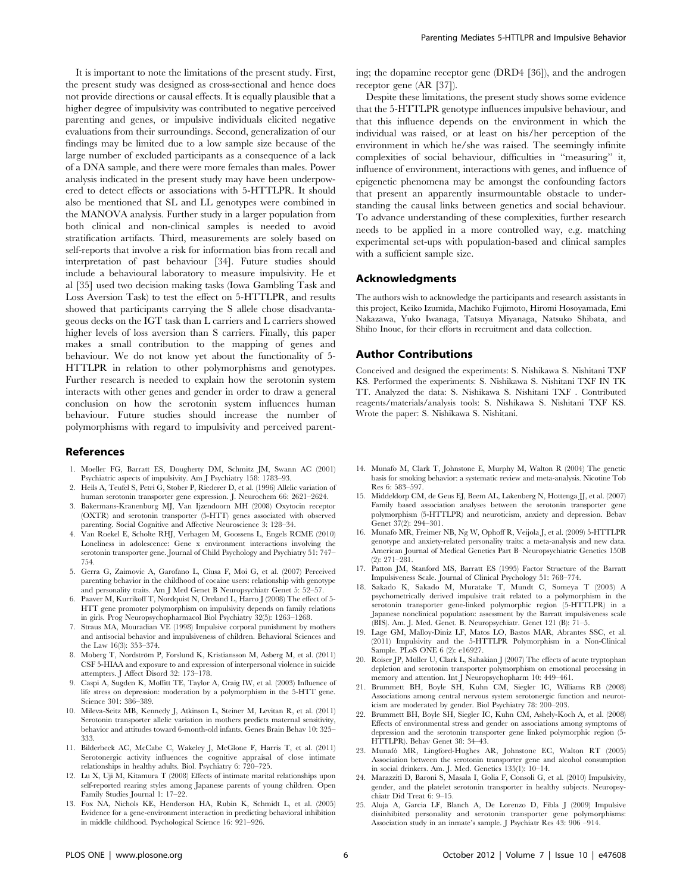It is important to note the limitations of the present study. First, the present study was designed as cross-sectional and hence does not provide directions or causal effects. It is equally plausible that a higher degree of impulsivity was contributed to negative perceived parenting and genes, or impulsive individuals elicited negative evaluations from their surroundings. Second, generalization of our findings may be limited due to a low sample size because of the large number of excluded participants as a consequence of a lack of a DNA sample, and there were more females than males. Power analysis indicated in the present study may have been underpowered to detect effects or associations with 5-HTTLPR. It should also be mentioned that SL and LL genotypes were combined in the MANOVA analysis. Further study in a larger population from both clinical and non-clinical samples is needed to avoid stratification artifacts. Third, measurements are solely based on self-reports that involve a risk for information bias from recall and interpretation of past behaviour [34]. Future studies should include a behavioural laboratory to measure impulsivity. He et al [35] used two decision making tasks (Iowa Gambling Task and Loss Aversion Task) to test the effect on 5-HTTLPR, and results showed that participants carrying the S allele chose disadvantageous decks on the IGT task than L carriers and L carriers showed higher levels of loss aversion than S carriers. Finally, this paper makes a small contribution to the mapping of genes and behaviour. We do not know yet about the functionality of 5- HTTLPR in relation to other polymorphisms and genotypes. Further research is needed to explain how the serotonin system interacts with other genes and gender in order to draw a general conclusion on how the serotonin system influences human behaviour. Future studies should increase the number of polymorphisms with regard to impulsivity and perceived parent-

## References

- 1. Moeller FG, Barratt ES, Dougherty DM, Schmitz JM, Swann AC (2001) Psychiatric aspects of impulsivity. Am J Psychiatry 158: 1783–93.
- 2. Heils A, Teufel S, Petri G, Stober P, Riederer D, et al. (1996) Allelic variation of human serotonin transporter gene expression. J. Neurochem 66: 2621–2624.
- 3. Bakermans-Kranenburg MJ, Van Ijzendoorn MH (2008) Oxytocin receptor (OXTR) and serotonin transporter (5-HTT) genes associated with observed parenting. Social Cognitive and Affective Neuroscience 3: 128–34.
- 4. Van Roekel E, Scholte RHJ, Verhagen M, Goossens L, Engels RCME (2010) Loneliness in adolescence: Gene x environment interactions involving the serotonin transporter gene. Journal of Child Psychology and Psychiatry 51: 747– 754.
- 5. Gerra G, Zaimovic A, Garofano L, Ciusa F, Moi G, et al. (2007) Perceived parenting behavior in the childhood of cocaine users: relationship with genotype and personality traits. Am J Med Genet B Neuropsychiatr Genet 5: 52–57.
- 6. Paaver M, Kurrikoff T, Nordquist N, Oreland L, Harro J (2008) The effect of 5- HTT gene promoter polymorphism on impulsivity depends on family relations in girls. Prog Neuropsychopharmacol Biol Psychiatry 32(5): 1263–1268.
- 7. Straus MA, Mouradian VE (1998) Impulsive corporal punishment by mothers and antisocial behavior and impulsiveness of children. Behavioral Sciences and the Law 16(3): 353–374.
- 8. Moberg T, Nordström P, Forslund K, Kristiansson M, Asberg M, et al. (2011) CSF 5-HIAA and exposure to and expression of interpersonal violence in suicide attempters. J Affect Disord 32: 173–178.
- 9. Caspi A, Sugden K, Moffitt TE, Taylor A, Craig IW, et al. (2003) Influence of life stress on depression: moderation by a polymorphism in the 5-HTT gene. Science 301: 386–389.
- 10. Mileva-Seitz MB, Kennedy J, Atkinson L, Steiner M, Levitan R, et al. (2011) Serotonin transporter allelic variation in mothers predicts maternal sensitivity, behavior and attitudes toward 6-month-old infants. Genes Brain Behav 10: 325– 333.
- 11. Bilderbeck AC, McCabe C, Wakeley J, McGlone F, Harris T, et al. (2011) Serotonergic activity influences the cognitive appraisal of close intimate relationships in healthy adults. Biol. Psychiatry 6: 720–725.
- 12. Lu X, Uji M, Kitamura T (2008) Effects of intimate marital relationships upon self-reported rearing styles among Japanese parents of young children. Open Family Studies Journal 1: 17–22.
- 13. Fox NA, Nichols KE, Henderson HA, Rubin K, Schmidt L, et al. (2005) Evidence for a gene-environment interaction in predicting behavioral inhibition in middle childhood. Psychological Science 16: 921–926.

ing; the dopamine receptor gene (DRD4 [36]), and the androgen receptor gene (AR [37]).

Despite these limitations, the present study shows some evidence that the 5-HTTLPR genotype influences impulsive behaviour, and that this influence depends on the environment in which the individual was raised, or at least on his/her perception of the environment in which he/she was raised. The seemingly infinite complexities of social behaviour, difficulties in ''measuring'' it, influence of environment, interactions with genes, and influence of epigenetic phenomena may be amongst the confounding factors that present an apparently insurmountable obstacle to understanding the causal links between genetics and social behaviour. To advance understanding of these complexities, further research needs to be applied in a more controlled way, e.g. matching experimental set-ups with population-based and clinical samples with a sufficient sample size.

# Acknowledgments

The authors wish to acknowledge the participants and research assistants in this project, Keiko Izumida, Machiko Fujimoto, Hiromi Hosoyamada, Emi Nakazawa, Yuko Iwanaga, Tatsuya Miyanaga, Natsuko Shibata, and Shiho Inoue, for their efforts in recruitment and data collection.

# Author Contributions

Conceived and designed the experiments: S. Nishikawa S. Nishitani TXF KS. Performed the experiments: S. Nishikawa S. Nishitani TXF IN TK TT. Analyzed the data: S. Nishikawa S. Nishitani TXF . Contributed reagents/materials/analysis tools: S. Nishikawa S. Nishitani TXF KS. Wrote the paper: S. Nishikawa S. Nishitani.

- 14. Munafo M, Clark T, Johnstone E, Murphy M, Walton R (2004) The genetic basis for smoking behavior: a systematic review and meta-analysis. Nicotine Tob Res 6: 583–597.
- 15. Middeldorp CM, de Geus EJ, Beem AL, Lakenberg N, Hottenga JJ, et al. (2007) Family based association analyses between the serotonin transporter gene polymorphism (5-HTTLPR) and neuroticism, anxiety and depression. Bebav Genet 37(2): 294–301.
- 16. Munafo MR, Freimer NB, Ng W, Ophoff R, Veijola J, et al. (2009) 5-HTTLPR genotype and anxiety-related personality traits: a meta-analysis and new data. American Journal of Medical Genetics Part B–Neuropsychiatric Genetics 150B (2): 271–281.
- 17. Patton JM, Stanford MS, Barratt ES (1995) Factor Structure of the Barratt Impulsiveness Scale. Journal of Clinical Psychology 51: 768–774.
- 18. Sakado K, Sakado M, Muratake T, Mundt C, Someya T (2003) A psychometrically derived impulsive trait related to a polymorphism in the serotonin transporter gene-linked polymorphic region (5-HTTLPR) in a Japanese nonclinical population: assessment by the Barratt impulsiveness scale (BIS). Am. J. Med. Genet. B. Neuropsychiatr. Genet 121 (B): 71–5.
- 19. Lage GM, Malloy-Diniz LF, Matos LO, Bastos MAR, Abrantes SSC, et al. (2011) Impulsivity and the 5-HTTLPR Polymorphism in a Non-Clinical Sample. PLoS ONE 6 (2): e16927.
- 20. Roiser JP, Müller U, Clark L, Sahakian J (2007) The effects of acute tryptophan depletion and serotonin transporter polymorphism on emotional processing in memory and attention. Int J Neuropsychopharm 10: 449–461.
- 21. Brummett BH, Boyle SH, Kuhn CM, Siegler IC, Williams RB (2008) Associations among central nervous system serotonergic function and neuroticism are moderated by gender. Biol Psychiatry 78: 200–203.
- 22. Brummett BH, Boyle SH, Siegler IC, Kuhn CM, Ashely-Koch A, et al. (2008) Effects of environmental stress and gender on associations among symptoms of depression and the serotonin transporter gene linked polymorphic region (5- HTTLPR). Behav Genet 38: 34–43.
- 23. Munafo` MR, Lingford-Hughes AR, Johnstone EC, Walton RT (2005) Association between the serotonin transporter gene and alcohol consumption in social drinkers. Am. J. Med. Genetics 135(1): 10–14.
- 24. Marazziti D, Baroni S, Masala I, Golia F, Consoli G, et al. (2010) Impulsivity, gender, and the platelet serotonin transporter in healthy subjects. Neuropsychiatr Did Treat 6: 9–15.
- 25. Aluja A, Garcia LF, Blanch A, De Lorenzo D, Fibla J (2009) Impulsive disinhibited personality and serotonin transporter gene polymorphisms: Association study in an inmate's sample. J Psychiatr Res 43: 906 –914.